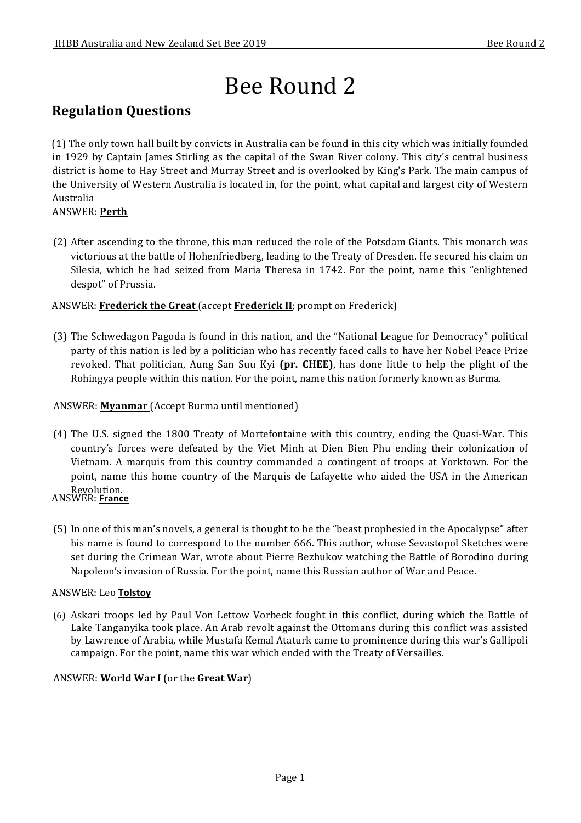# Bee Round 2

### **Regulation Questions**

(1) The only town hall built by convicts in Australia can be found in this city which was initially founded in 1929 by Captain James Stirling as the capital of the Swan River colony. This city's central business district is home to Hay Street and Murray Street and is overlooked by King's Park. The main campus of the University of Western Australia is located in, for the point, what capital and largest city of Western Australia

#### ANSWER: **Perth**

(2) After ascending to the throne, this man reduced the role of the Potsdam Giants. This monarch was victorious at the battle of Hohenfriedberg, leading to the Treaty of Dresden. He secured his claim on Silesia, which he had seized from Maria Theresa in 1742. For the point, name this "enlightened" despot" of Prussia.

#### ANSWER: **Frederick the Great** (accept **Frederick II**; prompt on Frederick)

(3) The Schwedagon Pagoda is found in this nation, and the "National League for Democracy" political party of this nation is led by a politician who has recently faced calls to have her Nobel Peace Prize revoked. That politician, Aung San Suu Kyi **(pr. CHEE)**, has done little to help the plight of the Rohingya people within this nation. For the point, name this nation formerly known as Burma.

#### ANSWER: **Myanmar** (Accept Burma until mentioned)

- (4) The U.S. signed the 1800 Treaty of Mortefontaine with this country, ending the Quasi-War. This country's forces were defeated by the Viet Minh at Dien Bien Phu ending their colonization of Vietnam. A marquis from this country commanded a contingent of troops at Yorktown. For the point, name this home country of the Marquis de Lafayette who aided the USA in the American Revolution. ANSWER: **France**
- (5) In one of this man's novels, a general is thought to be the "beast prophesied in the Apocalypse" after his name is found to correspond to the number 666. This author, whose Sevastopol Sketches were set during the Crimean War, wrote about Pierre Bezhukov watching the Battle of Borodino during Napoleon's invasion of Russia. For the point, name this Russian author of War and Peace.

#### ANSWER: Leo **Tolstoy**

(6) Askari troops led by Paul Von Lettow Vorbeck fought in this conflict, during which the Battle of Lake Tanganyika took place. An Arab revolt against the Ottomans during this conflict was assisted by Lawrence of Arabia, while Mustafa Kemal Ataturk came to prominence during this war's Gallipoli campaign. For the point, name this war which ended with the Treaty of Versailles.

#### ANSWER: **World War I** (or the **Great War**)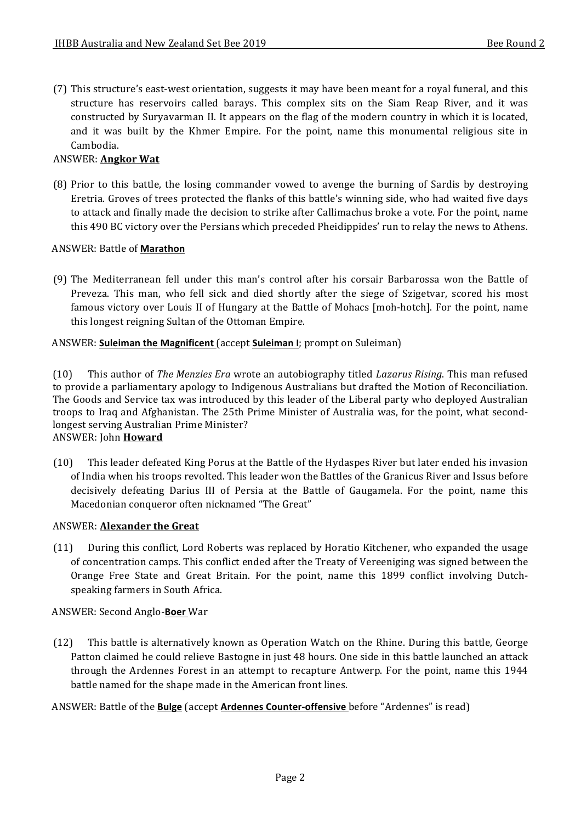(7) This structure's east-west orientation, suggests it may have been meant for a royal funeral, and this structure has reservoirs called barays. This complex sits on the Siam Reap River, and it was constructed by Suryavarman II. It appears on the flag of the modern country in which it is located, and it was built by the Khmer Empire. For the point, name this monumental religious site in Cambodia.

#### ANSWER: **Angkor Wat**

(8) Prior to this battle, the losing commander vowed to avenge the burning of Sardis by destroying Eretria. Groves of trees protected the flanks of this battle's winning side, who had waited five days to attack and finally made the decision to strike after Callimachus broke a vote. For the point, name this 490 BC victory over the Persians which preceded Pheidippides' run to relay the news to Athens.

#### ANSWER: Battle of **Marathon**

(9) The Mediterranean fell under this man's control after his corsair Barbarossa won the Battle of Preveza. This man, who fell sick and died shortly after the siege of Szigetvar, scored his most famous victory over Louis II of Hungary at the Battle of Mohacs [moh-hotch]. For the point, name this longest reigning Sultan of the Ottoman Empire.

#### ANSWER: **Suleiman the Magnificent** (accept **Suleiman I**; prompt on Suleiman)

(10) This author of *The Menzies Era* wrote an autobiography titled *Lazarus Rising*. This man refused to provide a parliamentary apology to Indigenous Australians but drafted the Motion of Reconciliation. The Goods and Service tax was introduced by this leader of the Liberal party who deployed Australian troops to Iraq and Afghanistan. The 25th Prime Minister of Australia was, for the point, what secondlongest serving Australian Prime Minister? ANSWER: John **Howard**

(10) This leader defeated King Porus at the Battle of the Hydaspes River but later ended his invasion of India when his troops revolted. This leader won the Battles of the Granicus River and Issus before decisively defeating Darius III of Persia at the Battle of Gaugamela. For the point, name this Macedonian conqueror often nicknamed "The Great"

#### ANSWER: **Alexander the Great**

(11) During this conflict, Lord Roberts was replaced by Horatio Kitchener, who expanded the usage of concentration camps. This conflict ended after the Treaty of Vereeniging was signed between the Orange Free State and Great Britain. For the point, name this 1899 conflict involving Dutchspeaking farmers in South Africa.

#### ANSWER: Second Anglo-**Boer** War

(12) This battle is alternatively known as Operation Watch on the Rhine. During this battle, George Patton claimed he could relieve Bastogne in just 48 hours. One side in this battle launched an attack through the Ardennes Forest in an attempt to recapture Antwerp. For the point, name this 1944 battle named for the shape made in the American front lines.

#### ANSWER: Battle of the **Bulge** (accept **Ardennes Counter-offensive** before "Ardennes" is read)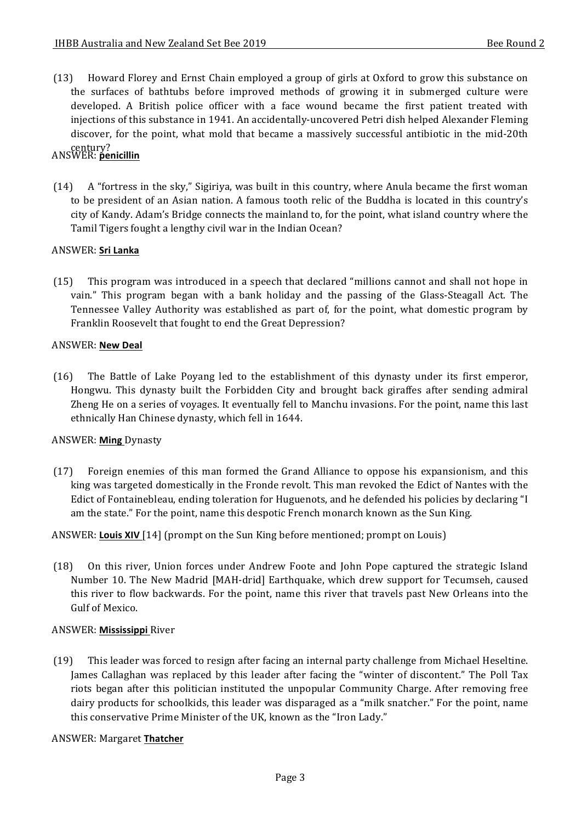(13) Howard Florey and Ernst Chain employed a group of girls at Oxford to grow this substance on the surfaces of bathtubs before improved methods of growing it in submerged culture were developed. A British police officer with a face wound became the first patient treated with injections of this substance in 1941. An accidentally-uncovered Petri dish helped Alexander Fleming discover, for the point, what mold that became a massively successful antibiotic in the mid-20th century? ANSWER: **penicillin**

## $(14)$  A "fortress in the sky," Sigiriya, was built in this country, where Anula became the first woman to be president of an Asian nation. A famous tooth relic of the Buddha is located in this country's city of Kandy. Adam's Bridge connects the mainland to, for the point, what island country where the

Tamil Tigers fought a lengthy civil war in the Indian Ocean?

#### **ANSWER: Sri Lanka**

(15) This program was introduced in a speech that declared "millions cannot and shall not hope in vain." This program began with a bank holiday and the passing of the Glass-Steagall Act. The Tennessee Valley Authority was established as part of, for the point, what domestic program by Franklin Roosevelt that fought to end the Great Depression?

#### ANSWER: **New Deal**

(16) The Battle of Lake Poyang led to the establishment of this dynasty under its first emperor, Hongwu. This dynasty built the Forbidden City and brought back giraffes after sending admiral Zheng He on a series of voyages. It eventually fell to Manchu invasions. For the point, name this last ethnically Han Chinese dynasty, which fell in 1644.

#### ANSWER: **Ming** Dynasty

(17) Foreign enemies of this man formed the Grand Alliance to oppose his expansionism, and this king was targeted domestically in the Fronde revolt. This man revoked the Edict of Nantes with the Edict of Fontainebleau, ending toleration for Huguenots, and he defended his policies by declaring "I am the state." For the point, name this despotic French monarch known as the Sun King.

#### ANSWER: Louis XIV [14] (prompt on the Sun King before mentioned; prompt on Louis)

(18) On this river, Union forces under Andrew Foote and John Pope captured the strategic Island Number 10. The New Madrid [MAH-drid] Earthquake, which drew support for Tecumseh, caused this river to flow backwards. For the point, name this river that travels past New Orleans into the Gulf of Mexico.

#### ANSWER: **Mississippi** River

(19) This leader was forced to resign after facing an internal party challenge from Michael Heseltine. James Callaghan was replaced by this leader after facing the "winter of discontent." The Poll Tax riots began after this politician instituted the unpopular Community Charge. After removing free dairy products for schoolkids, this leader was disparaged as a "milk snatcher." For the point, name this conservative Prime Minister of the UK, known as the "Iron Lady."

#### ANSWER: Margaret **Thatcher**